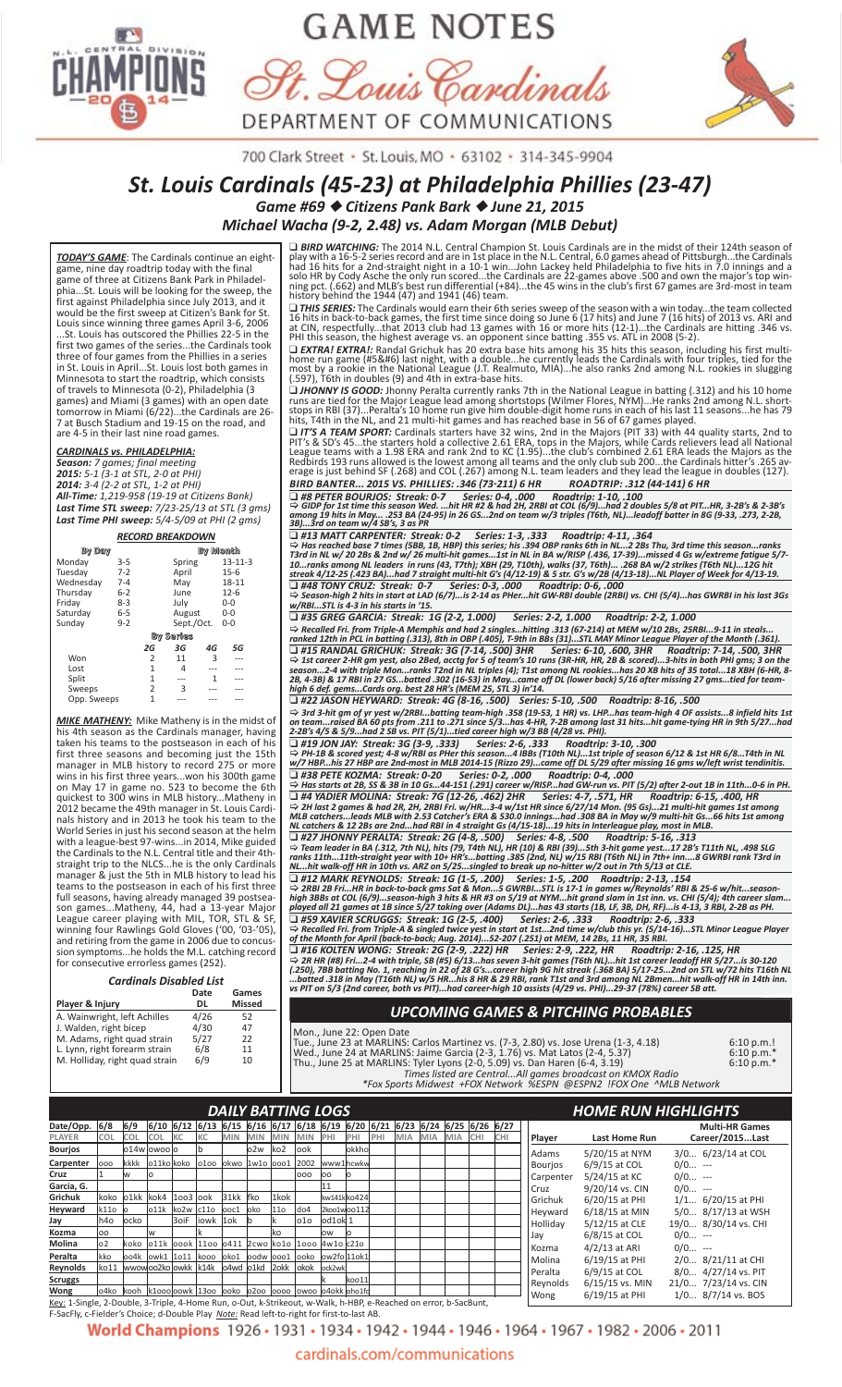

# **GAME NOTES**





700 Clark Street · St. Louis, MO · 63102 · 314-345-9904

# *St. Louis Cardinals (45‐23) at Philadelphia Phillies (23‐47) Game #69* ◆ *Citizens Pank Bark* ◆ *June 21, 2015*

*Michael Wacha (9‐2, 2.48) vs. Adam Morgan (MLB Debut)*

*TODAY'S GAME*: The Cardinals continue an eight‐ game, nine day roadtrip today with the final game of three at Citizens Bank Park in Philadel‐ phia...St. Louis will be looking for the sweep, the first against Philadelphia since July 2013, and it would be the first sweep at Citizen's Bank for St. Louis since winning three games April 3‐6, 2006 .St. Louis has outscored the Phillies 22-5 in the first two games of the series...the Cardinals took three of four games from the Phillies in a series in St. Louis in April...St. Louis lost both games in Minnesota to start the roadtrip, which consists of travels to Minnesota (0‐2), Philadelphia (3 games) and Miami (3 games) with an open date tomorrow in Miami (6/22)...the Cardinals are 26‐ 7 at Busch Stadium and 19‐15 on the road, and are 4‐5 in their last nine road games.

#### *CARDINALS vs. PHILADELPHIA:*

*Season: 7 games; final meeting 2015: 5‐1 (3‐1 at STL, 2‐0 at PHI) 2014: 3‐4 (2‐2 at STL, 1‐2 at PHI) All‐Time: 1,219‐958 (19‐19 at Citizens Bank) Last Time STL sweep: 7/23‐25/13 at STL (3 gms) Last Time PHI sweep: 5/4‐5/09 at PHI (2 gms)*

*RECORD BREAKDOWN* **By Day By Month** Monday 3‐5 Spring 13‐11‐3 Tuesday 7‐2 April 15‐6 Wednesday 7‐4 May 18‐11 Thursday 6‐2 June 12‐6 Friday 8–3<br>
Tuesday 7–2 April 15–6<br>
Wednesday 7–4 May 18-11<br>
Thursday 6–2 June 12–6<br>
Friday 8–3 July 0–0<br>
Saturday 6–5 August 0–0 Saturday 6‐5 August 0‐0 Sunday 9‐2 Sept./Oct. 0‐0 **By Seri es**  *2G 3G 4G 5G* Won 2 11 3 ---Lost 1 4 --- ---Split 1 --- 1 ---Sweeps 2 3 --- ---<u>Paster and the spire of</u> the spire of the spire of the spire of the spire of the spire of the spire of the spire of the spire of the spire of the spire of the spire of the spire of the spire of the spire of the spire of t

*MIKE MATHENY:* Mike Matheny is in the midst of his 4th season as the Cardinals manager, having taken his teams to the postseason in each of his first three seasons and becoming just the 15th manager in MLB history to record 275 or more wins in his first three years...won his 300th game on May 17 in game no. 523 to become the 6th quickest to 300 wins in MLB history...Matheny in 2012 became the 49th manager in St. Louis Cardi‐ nals history and in 2013 he took his team to the World Series in just his second season at the helm with a league‐best 97‐wins...in 2014, Mike guided the Cardinals to the N.L. Central title and their 4th‐ straight trip to the NLCS...he is the only Cardinals manager & just the 5th in MLB history to lead his teams to the postseason in each of his first three full seasons, having already managed 39 postsea‐ son games...Matheny, 44, had a 13‐year Major League career playing with MIL, TOR, STL & SF, winning four Rawlings Gold Gloves ('00, '03‐'05), and retiring from the game in 2006 due to concus‐ sion symptoms...he holds the M.L. catching record for consecutive errorless games (252).

| <b>Cardinals Disabled List</b> |               |
|--------------------------------|---------------|
| Date                           | Games         |
| DL                             | <b>Missed</b> |
| 4/26                           | 52            |
| 4/30                           | 47            |
| 5/27                           | 22            |
| 6/8                            | 11            |
| 6/9                            | 10            |
|                                |               |

# ❑ *BIRD WATCHING:* The 2014 N.L. Central Champion St. Louis Cardinals are in the midst of their 124th season of play with a 16-5-2 series record and are in 1st place in the N.L. Central, 6.0 games ahead of Pittsburgh…the Cardinals<br>had 16 hits for a 2nd-straight night in a 10-1 win…John Lackey held Philadelphia to five hits in 7.0 in

□ THIS SERIES: The Cardinals would earn their 6th series sweep of the season with a win today…the team collected<br>16 hits in back-to-back games, the first time since doing so June 6 (17 hits) and June 7 (16 hits) of 2013 v

□ EXTRA! EXTRA!: Randal Grichuk has 20 extra base hits among his 35 hits this season, including his first multi-<br>home run game (#5&#6) last night, with a double...he currently leads the Cardinals with four triples, tied f

□ **JHONNY IS GOOD:** Jhonny Peralta currently ranks 7th in the National League in batting (.312) and his 10 home<br>runs are tied for the Major League lead among shortstops (Wilmer Flores, NYM)...He ranks 2nd among N.L. short

**□ IT'S A TEAM SPORT:** Cardinals starters have 32 wins, 2nd in the Majors (PIT 33) with 44 quality starts, 2nd to PIT's & SD's 45...the starters hold a collective 2.61 ERA, tops in the Majors, while Cards relievers lead a *BIRD BANTER... 2015 VS. PHILLIES: .346 (73-211) 6 HR ROADTRIP: .312 (44-141) 6 HR* 

□ #8 PETER BOURJOS: Streak: 0-7 Series: 0-4, .000 Roadtrip: 1-10, .100<br>⇔ GIDP for 1st time this season Wed. …hit HR #2 & had 2H, 2RBI at COL (6/9)…had 2 doubles 5/8 at PIT…HR, 3-2B's & 2-3B's<br>among 19 hits in Ma

□ #13 MATT CARPENTER: Streak: 0-2 Series: 1-3, .333 Roadtrip: 4-11, .364<br>⇔ Has reached base 7 times (5BB, 1B, HBP) this series; his .394 OBP ranks 6th in NL…2 2Bs Thu, 3rd time this season…ranks<br>T3rd in NL w/ 20 2Bs & 2nd

□ #48 TONY CRUZ: Streak: 0-7 Series: 0-3, .000 Roadtrip: 0-6, .000<br>⇔ Season-high 2 hits in start at LAD (6/7)...is 2-14 as PHer...hit GW-RBI double (2RBI) vs. CHI (5/4)...has GWRBI in his last 3Gs<br>w/RBI...STL is 4-3 in

□ #15 RANDAL GRICHUK: Streak: 3G (7-14, .500) 3HR Series: 6-10, .600, 3HR Roadtrip: 7-14, .500, 3HR<br>→ 1st career 2-HR gm yest, also 2Bed, acctg for 5 of team's 10 runs (3R-HR, HR, 2B & scored)...3-hits in bot *2B, 4‐3B) & 17 RBI in 27 GS...batted .302 (16‐53) in May...came off DL (lower back) 5/16 after missing 27 gms...tied for team‐ high 6 def. gems...Cards org. best 28 HR's (MEM 25, STL 3) in'14.*

■ #22 JASON HEYWARD: Streak: 4G (8-16, .500) Series: 5-10, .500 Roadtrip: 8-16, .500<br>
⇒ 3rd 3-hit gm of yr yest w/2RBI...batting team-high .358 (19-53, 1 HR) vs. LHP...has team-high 4 OF assists...8 infield hits 1st<br>
on

[ *Has starts at 2B, SS & 3B in 10 Gs...44‐151 (.291) career w/RISP...had GW‐run vs. PIT (5/2) after 2‐out 1B in 11th...0‐6 in PH.* □ #4 YADIER MOLINA: Streak: 7G (12-26, .462) 2HR Series: 4-7, .571, HR Roadtrip: 6-15, .400, HR<br>→ 2H last 2 games & had 2R, 2H, 2RBI Fri. w/HR...3-4 w/1st HR since 6/27/14 Mon. (95 Gs)...21 multi-hit games 1st among<br>MLB

NL…hit walk-off HR in 10th vs. ARZ on 5/25…singled to break up no-hitter w/2 out in 7th 5/13 at CLE.<br>□ #12 MARK REYNOLDS: Streak: 1G (1-5, .200) Series: 1-5, .200 Roadtrip: 2-13, .154<br>→ 2RBI 2B Fri…HR in back-to-

high 3BBs at COL (6/9)…season-high 3 hits & HR #3 on 5/19 at NYM…hit grand slam in 1st inn. vs. CHI (5/4); 4th career slam…<br>played all 21 games at 1B since 5/27 taking over (Adams DL)…has 43 starts (1B, LF, 3B, DH, RF)…is

□ #59 XAVIER SCRUGGS: Streak: 1G (2-5, .400) Series: 2-6, .333 Roadtrip: 2-6, .333<br>→ Recalled Fri. from Triple-A & singled twice yest in start at 1st…2nd time w/club this yr. (5/14-16)…STL Minor League Player<br>of

□ #16 KOLTEN WONG: Streak: 2G (2-9, .222) HR Series: 2-9, .222, HR Roadtrip: 2-16, .125, HR<br>→ 2R HR (#8) Fri…2-4 with triple, SB (#5) 6/13…has seven 3-hit games (T6th NL)…hit 1st career leadoff HR 5/27…is 30-12 (.250), 7BB batting No. 1, reaching in 22 of 28 G's…career high 9G hit streak (.368 BA) 5/17-25…2nd on STL w/72 hits T16th NL<br>…batted .318 in May (T16th NL) w/5 HR…his 8 HR & 29 RBI, rank T1st and 3rd among NL 2Bmen…hit wa

#### *UPCOMING GAMES & PITCHING PROBABLES*

Mon., June 22: Open Date<br>
Tue., June 23 at MARLINS: Carlos Martinez vs. (7-3, 2.80) vs. Jose Urena (1-3, 4.18) 6:10 p.m.!<br>
Wed., June 24 at MARLINS: Tyler Lyons (2-0, 5.09) vs. Dan Haren (6-4, 3.19) 6:10 p.m.\*<br>
Thu., June

|                                                                                                                  |                                                                                                                                                                                                                                                                                                                          |     |                                                                              |  |  |  |  |    | <b>DAILY BATTING LOGS</b> |        |        |  |  |          |                |                      |                      |                      | <b>HOME RUN HIGHLIGHTS</b> |                       |
|------------------------------------------------------------------------------------------------------------------|--------------------------------------------------------------------------------------------------------------------------------------------------------------------------------------------------------------------------------------------------------------------------------------------------------------------------|-----|------------------------------------------------------------------------------|--|--|--|--|----|---------------------------|--------|--------|--|--|----------|----------------|----------------------|----------------------|----------------------|----------------------------|-----------------------|
| Date/Opp.                                                                                                        | 6/8                                                                                                                                                                                                                                                                                                                      | 6/9 | $6/10$ 6/12 6/13 6/15 6/16 6/17 6/18 6/19 6/20 6/21 6/23 6/24 6/25 6/26 6/27 |  |  |  |  |    |                           |        |        |  |  |          |                |                      |                      |                      |                            | <b>Multi-HR Games</b> |
| PLAYER                                                                                                           | <b>COL</b><br><b>IKC</b><br><b>IKC</b><br><b>MIN</b><br><b>COL</b><br><b>COL</b><br><b>MIN</b><br><b>MIN</b><br>PHI<br><b>MIA</b><br><b>MIN</b><br>PHI<br>MIA<br>MIA ICHI<br><b>CHI</b><br>PHI<br>o2w<br>ko <sub>2</sub><br>lo14w lowoo lo<br>look<br>okkho<br>kkkk 011ko koko 0100 okwo 1w10 0001 2002 www1hcwkw<br>000 |     |                                                                              |  |  |  |  |    |                           |        |        |  |  |          |                | Player               | <b>Last Home Run</b> | Career/2015Last      |                            |                       |
| <b>Bourjos</b>                                                                                                   |                                                                                                                                                                                                                                                                                                                          |     |                                                                              |  |  |  |  |    |                           |        |        |  |  |          |                | Adams                | 5/20/15 at NYM       | 3/0 6/23/14 at COL   |                            |                       |
| Carpenter                                                                                                        |                                                                                                                                                                                                                                                                                                                          |     |                                                                              |  |  |  |  |    |                           |        |        |  |  |          |                |                      |                      | <b>Bourjos</b>       | $6/9/15$ at COL            | $0/0$ ---             |
| Cruz                                                                                                             | w<br>000<br>loo<br>lo                                                                                                                                                                                                                                                                                                    |     |                                                                              |  |  |  |  |    |                           |        |        |  |  |          |                | <b>Carpenter</b>     | 5/24/15 at KC        | $0/0$ ---            |                            |                       |
| Garcia, G.                                                                                                       |                                                                                                                                                                                                                                                                                                                          |     |                                                                              |  |  |  |  |    |                           |        |        |  |  |          |                | Cruz                 | 9/20/14 vs. CIN      | $0/0$ ---            |                            |                       |
| Grichuk                                                                                                          | koko o1kk kok4<br>1kok<br>31kk fko<br>kw141kko424<br>$ 1003 $ ook                                                                                                                                                                                                                                                        |     |                                                                              |  |  |  |  |    |                           |        |        |  |  |          |                | Grichuk              | 6/20/15 at PHI       | $1/1 6/20/15$ at PHI |                            |                       |
| k110<br>Heyward<br><b>11o</b><br> o11k <br>$k$ o2w $c$ 11o $loc1$<br>do <sub>4</sub><br>2koo1woo112<br>loko      |                                                                                                                                                                                                                                                                                                                          |     |                                                                              |  |  |  |  |    |                           |        |        |  |  |          | Hevward        | 6/18/15 at MIN       | 5/0 8/17/13 at WSH   |                      |                            |                       |
| 3oiF liowk 10k<br>od1ok 1<br>h4o<br>lo1o<br>Jay<br>locko                                                         |                                                                                                                                                                                                                                                                                                                          |     |                                                                              |  |  |  |  |    |                           |        |        |  |  | Hollidav | 5/12/15 at CLE | 19/0 8/30/14 vs. CHI |                      |                      |                            |                       |
| Kozma                                                                                                            | loo                                                                                                                                                                                                                                                                                                                      |     | W                                                                            |  |  |  |  | ko |                           | ow     | lo     |  |  |          |                |                      |                      | Jay                  | 6/8/15 at COL              | $0/0$ ---             |
| Molina                                                                                                           | lo2                                                                                                                                                                                                                                                                                                                      |     | koko 011k 000k 1100 0411 2cwo ko10 1000 4w10 c210                            |  |  |  |  |    |                           |        |        |  |  |          |                |                      |                      | Kozma                | $4/2/13$ at ARI            | $0/0$ ---             |
| Peralta                                                                                                          | <b>kko</b>                                                                                                                                                                                                                                                                                                               |     | $ 004k $ owk1 $ 1011 $ kooo $ 0k01 $ $ 0001 $ $ 00k0 $ $ 0w2f0 $ 110k1       |  |  |  |  |    |                           |        |        |  |  |          |                |                      |                      | Molina               | 6/19/15 at PHI             | 2/0 8/21/11 at CHI    |
| Reynolds                                                                                                         |                                                                                                                                                                                                                                                                                                                          |     | ko11 wwowoo2ko owkk k14k o4wd o1kd 20kk okok                                 |  |  |  |  |    |                           | ock2wk |        |  |  |          |                |                      |                      | Peralta              | $6/9/15$ at COL            | 8/0 4/27/14 vs. PIT   |
| <b>Scruggs</b>                                                                                                   |                                                                                                                                                                                                                                                                                                                          |     |                                                                              |  |  |  |  |    |                           |        | lkoo11 |  |  |          |                |                      |                      | Reynolds             | $6/15/15$ vs. MIN          | 21/0 7/23/14 vs. CIN  |
| Wong                                                                                                             |                                                                                                                                                                                                                                                                                                                          |     | 04ko   kooh   k1000 oowk   1300   ooko   0200   0000   0000   040kk   oho1fo |  |  |  |  |    |                           |        |        |  |  |          |                |                      |                      | Wong                 | 6/19/15 at PHI             | $1/0$ 8/7/14 vs. BOS  |
| Key: 1-Single, 2-Double, 3-Triple, 4-Home Run, o-Out, k-Strikeout, w-Walk, h-HBP, e-Reached on error, b-SacBunt, |                                                                                                                                                                                                                                                                                                                          |     |                                                                              |  |  |  |  |    |                           |        |        |  |  |          |                |                      |                      |                      |                            |                       |

F-SacFly, c-Fielder's Choice; d-Double Play *Note:* Read left-to-right for first-to-last AB.

World Champions 1926 · 1931 · 1934 · 1942 · 1944 · 1946 · 1964 · 1967 · 1982 · 2006 · 2011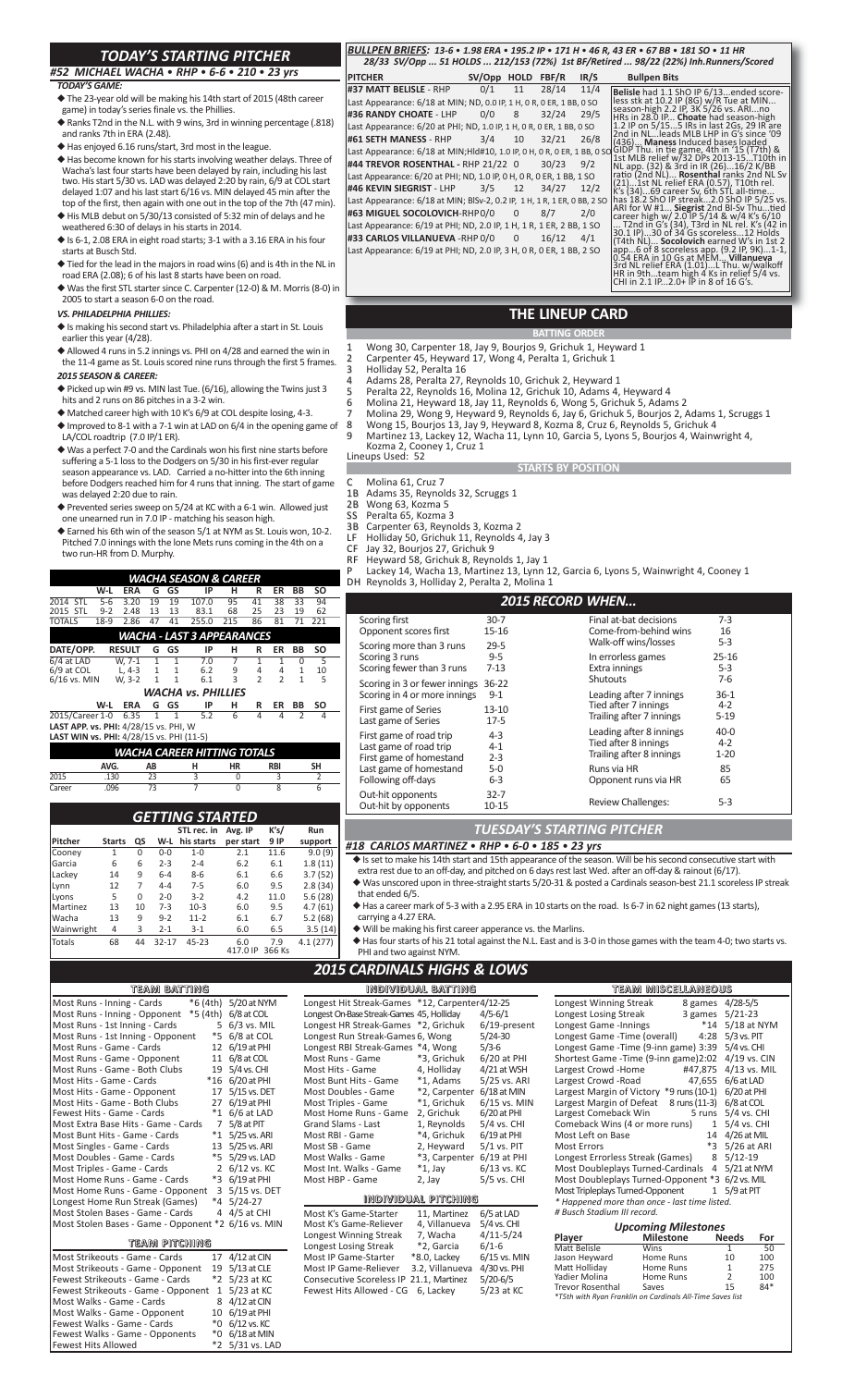# *TODAY'S STARTING PITCHER*

## *#52 MICHAEL WACHA* • *RHP* • *6‐6* • *210* • *23 yrs*

#### *TODAY'S GAME:*

- ◆ The 23‐year old will be making his 14th start of 2015 (48th career game) in today's series finale vs. the Phillies.
- ◆ Ranks T2nd in the N.L. with 9 wins, 3rd in winning percentage (.818) and ranks 7th in ERA (2.48).
- ◆ Has enjoyed 6.16 runs/start, 3rd most in the league.
- ◆ Has become known for his starts involving weather delays. Three of Wacha's last four starts have been delayed by rain, including his last two. His start 5/30 vs. LAD was delayed 2:20 by rain, 6/9 at COL start delayed 1:07 and his last start 6/16 vs. MIN delayed 45 min after the top of the first, then again with one out in the top of the 7th (47 min).
- ◆ His MLB debut on 5/30/13 consisted of 5:32 min of delays and he weathered 6:30 of delays in his starts in 2014.  $\blacklozenge$  Is 6-1, 2.08 ERA in eight road starts; 3-1 with a 3.16 ERA in his four
- starts at Busch Std.
- ◆ Tied for the lead in the majors in road wins (6) and is 4th in the NL in road ERA (2.08); 6 of his last 8 starts have been on road.
- ◆ Was the first STL starter since C. Carpenter (12‐0) & M. Morris (8‐0) in 2005 to start a season 6‐0 on the road.

#### *VS. PHILADELPHIA PHILLIES:*

- ◆ Is making his second start vs. Philadelphia after a start in St. Louis earlier this year (4/28).
- ◆ Allowed 4 runs in 5.2 innings vs. PHI on 4/28 and earned the win in the 11-4 game as St. Louis scored nine runs through the first 5 frames.
- *2015 SEASON & CAREER:*
- $\blacklozenge$  Picked up win #9 vs. MIN last Tue. (6/16), allowing the Twins just 3 hits and 2 runs on 86 pitches in a 3‐2 win.
- ◆ Matched career high with 10 K's 6/9 at COL despite losing, 4-3.
- ◆ Improved to 8‐1 with a 7‐1 win at LAD on 6/4 in the opening game of LA/COL roadtrip (7.0 IP/1 ER).
- ◆ Was a perfect 7-0 and the Cardinals won his first nine starts before suffering a 5-1 loss to the Dodgers on 5/30 in his first-ever regular season appearance vs. LAD. Carried a no-hitter into the 6th inning before Dodgers reached him for 4 runs that inning. The start of game was delayed 2:20 due to rain.
- ◆ Prevented series sweep on 5/24 at KC with a 6-1 win. Allowed just one unearned run in 7.0 IP ‐ matching his season high.
- $\blacklozenge$  Earned his 6th win of the season 5/1 at NYM as St. Louis won, 10-2. Pitched 7.0 innings with the lone Mets runs coming in the 4th on a two run‐HR from D. Murphy.

|                                                                                                                                                                                          |                                                         |                      |                  | WACHA SEASON & CAREER      |                  |                |                |              |           |  |  |  |  |  |  |
|------------------------------------------------------------------------------------------------------------------------------------------------------------------------------------------|---------------------------------------------------------|----------------------|------------------|----------------------------|------------------|----------------|----------------|--------------|-----------|--|--|--|--|--|--|
|                                                                                                                                                                                          | W-L                                                     | <b>ERA</b>           | G<br>GS          | IP                         | н                | R              | ER             | <b>BB</b>    | <b>SO</b> |  |  |  |  |  |  |
| 2014 STL                                                                                                                                                                                 | $5 - 6$                                                 | 3.20                 | 19<br>19         | 107.0                      | 95               | 41             | 38             | 33           | 94        |  |  |  |  |  |  |
| 2015 STL                                                                                                                                                                                 | $9 - 2$                                                 | 2.48                 | 13<br>13         | 83.1                       | 68               | 25             | 23             | 19           | 62        |  |  |  |  |  |  |
| <b>TOTALS</b>                                                                                                                                                                            | $18-9$                                                  | 2.86                 | 47<br>41         | 255.0                      | 215              | 86             | 81             | 71           | 221       |  |  |  |  |  |  |
|                                                                                                                                                                                          |                                                         |                      |                  | WACHA - LAST 3 APPEARANCES |                  |                |                |              |           |  |  |  |  |  |  |
| DATE/OPP.                                                                                                                                                                                | <b>RESULT</b>                                           |                      | GS<br>G          | IP                         | н                | R              | ER             | <b>BB</b>    | <b>SO</b> |  |  |  |  |  |  |
| 6/4 at LAD                                                                                                                                                                               | $W. 7-1$                                                |                      | 7                | $\overline{1}$             | $\overline{1}$   | $\overline{0}$ | 5              |              |           |  |  |  |  |  |  |
| 6/9 at COL                                                                                                                                                                               |                                                         | $L, 4-3$             | $\mathbf{1}$     | $\mathbf{1}$<br>6.2        | 9                | 4              | 4              | $\mathbf{1}$ | 10        |  |  |  |  |  |  |
| 6/16 vs. MIN                                                                                                                                                                             | W, 3-2                                                  |                      | $\mathbf{1}$     | $\mathbf{1}$<br>6.1        | 3                | $\overline{2}$ | $\overline{2}$ | $\mathbf{1}$ | 5         |  |  |  |  |  |  |
| <b>WACHA vs. PHILLIES</b><br>IP<br>SO<br>W-L<br><b>ERA</b><br>G<br>GS<br>н<br>ER<br>R<br>BB                                                                                              |                                                         |                      |                  |                            |                  |                |                |              |           |  |  |  |  |  |  |
|                                                                                                                                                                                          |                                                         |                      |                  |                            |                  |                |                |              |           |  |  |  |  |  |  |
|                                                                                                                                                                                          |                                                         |                      |                  |                            |                  |                |                |              |           |  |  |  |  |  |  |
| 5.2<br>6.35<br>$\overline{6}$<br>2015/Career 1-0<br>$\overline{1}$<br>$\overline{1}$<br>4<br>$\overline{4}$<br>$\overline{2}$<br>$\overline{4}$<br>LAST APP. vs. PHI: 4/28/15 vs. PHI, W |                                                         |                      |                  |                            |                  |                |                |              |           |  |  |  |  |  |  |
| LAST WIN vs. PHI: 4/28/15 vs. PHI (11-5)                                                                                                                                                 |                                                         |                      |                  |                            |                  |                |                |              |           |  |  |  |  |  |  |
| WACHA CAREER HITTING TOTALS                                                                                                                                                              |                                                         |                      |                  |                            |                  |                |                |              |           |  |  |  |  |  |  |
|                                                                                                                                                                                          | AVG.<br>н<br><b>HR</b><br><b>SH</b><br>AB<br><b>RBI</b> |                      |                  |                            |                  |                |                |              |           |  |  |  |  |  |  |
| 7015                                                                                                                                                                                     | .130                                                    | $\overline{0}$       |                  | 3                          |                  | 2              |                |              |           |  |  |  |  |  |  |
| Career                                                                                                                                                                                   | .096                                                    |                      | 73               | 7                          | $\Omega$         |                | 8              |              | 6         |  |  |  |  |  |  |
|                                                                                                                                                                                          |                                                         |                      |                  |                            |                  |                |                |              |           |  |  |  |  |  |  |
|                                                                                                                                                                                          |                                                         |                      |                  |                            |                  |                |                |              |           |  |  |  |  |  |  |
|                                                                                                                                                                                          |                                                         |                      |                  | GETTING STARTED            |                  |                |                |              |           |  |  |  |  |  |  |
|                                                                                                                                                                                          |                                                         |                      |                  | STL rec. in                | Avg. IP          |                | K's/           |              | Run       |  |  |  |  |  |  |
| Pitcher                                                                                                                                                                                  | <b>Starts</b><br>$\overline{1}$                         | QS<br>$\overline{0}$ | W-L<br>$0 - 0$   | his starts<br>$1 - 0$      | per start<br>2.1 |                | 9 IP<br>11.6   |              | support   |  |  |  |  |  |  |
| Cooney                                                                                                                                                                                   | 6                                                       | 6                    | $2 - 3$          | $2 - 4$                    | 6.2              |                | 6.1            |              | 9.0(9)    |  |  |  |  |  |  |
| Garcia                                                                                                                                                                                   |                                                         |                      |                  |                            |                  |                | 6.6            |              | 1.8(11)   |  |  |  |  |  |  |
| Lackey                                                                                                                                                                                   | 14<br>12                                                | 9<br>$\overline{7}$  | $6 - 4$<br>$4-4$ | $8 - 6$<br>$7 - 5$         | 6.1              |                |                |              | 3.7(52)   |  |  |  |  |  |  |
| Lynn                                                                                                                                                                                     |                                                         |                      |                  |                            | 6.0              |                | 9.5            |              | 2.8(34)   |  |  |  |  |  |  |
| Lvons                                                                                                                                                                                    | 5                                                       | 0                    | $2 - 0$          | $3 - 2$                    | 4.2              |                | 11.0           |              | 5.6(28)   |  |  |  |  |  |  |
| Martinez                                                                                                                                                                                 | 13                                                      | 10                   | $7-3$            | $10-3$                     | 6.0              |                | 9.5            |              | 4.7(61)   |  |  |  |  |  |  |
| Wacha                                                                                                                                                                                    | 13                                                      | 9                    | $9 - 2$          | $11 - 2$                   | 6.1              |                | 6.7            |              | 5.2(68)   |  |  |  |  |  |  |
| Wainwright                                                                                                                                                                               | 4                                                       | 3                    | $2 - 1$          | $3 - 1$                    | 6.0              |                | 6.5            |              | 3.5(14)   |  |  |  |  |  |  |
| Totals                                                                                                                                                                                   | 68                                                      | 44                   | $32 - 17$        | $45 - 23$                  | 6.0<br>417.0 IP  |                | 7.9<br>366 Ks  |              | 4.1(277)  |  |  |  |  |  |  |
|                                                                                                                                                                                          |                                                         |                      |                  |                            |                  |                |                |              |           |  |  |  |  |  |  |

### **TEAM  BATTING**

| uleanni dan iunigi                                  |                |              |
|-----------------------------------------------------|----------------|--------------|
| *6 (4th)<br>Most Runs - Inning - Cards              |                | 5/20 at NYM  |
| Most Runs - Inning - Opponent<br>*5 (4th)           |                | 6/8 at COL   |
| Most Runs - 1st Inning - Cards                      | 5              | 6/3 vs. MIL  |
| Most Runs - 1st Inning - Opponent                   | *5             | 6/8 at COL   |
| Most Runs - Game - Cards                            | 12             | 6/19 at PHI  |
| Most Runs - Game - Opponent                         | 11             | 6/8 at COL   |
| Most Runs - Game - Both Clubs                       | 19             | 5/4 vs. CHI  |
| Most Hits - Game - Cards                            | $*16$          | 6/20 at PHI  |
| Most Hits - Game - Opponent                         | 17             | 5/15 vs. DET |
| Most Hits - Game - Both Clubs                       | 27             | 6/19 at PHI  |
| Fewest Hits - Game - Cards                          | $^*1$          | 6/6 at LAD   |
| Most Extra Base Hits - Game - Cards                 | 7              | 5/8 at PIT   |
| Most Bunt Hits - Game - Cards                       | $*_{1}$        | 5/25 vs. ARI |
| Most Singles - Game - Cards                         | 13             | 5/25 vs. ARI |
| Most Doubles - Game - Cards                         | *5             | 5/29 vs. LAD |
| Most Triples - Game - Cards                         | $\overline{2}$ | 6/12 vs. KC  |
| Most Home Runs - Game - Cards                       | *3             | 6/19 at PHI  |
| Most Home Runs - Game - Opponent                    | 3              | 5/15 vs. DET |
| Longest Home Run Streak (Games)                     | $*_{4}$        | $5/24-27$    |
| Most Stolen Bases - Game - Cards                    | 4              | 4/5 at CHI   |
| Most Stolen Bases - Game - Opponent *2 6/16 vs. MIN |                |              |
| team pitching                                       |                |              |
| Most Strikeouts - Game - Cards                      | 17             | 4/12 at CIN  |
| Most Strikeouts - Game - Opponent                   | 19             | 5/13 at CLE  |
| Fewest Strikeouts - Game - Cards                    | $*_{2}$        | 5/23 at KC   |
| Fewest Strikeouts - Game - Opponent                 | $\mathbf{1}$   | 5/23 at KC   |
| Most Walks - Game - Cards                           | 8              | 4/12 at CIN  |
| Most Walks - Game - Opponent                        | 10             | 6/19 at PHI  |
| Fewest Walks - Game - Cards                         | *0             | 6/12 vs. KC  |
| Fewest Walks - Game - Opponents                     | *0             | 6/18 at MIN  |
| <b>Fewest Hits Allowed</b>                          | $*_{2}$        | 5/31 vs. LAD |
|                                                     |                |              |

#### *BULLPEN BRIEFS: 13‐6* • *1.98 ERA* • *195.2 IP* • *171 H* • *46 R, 43 ER* • *67 BB* • *181 SO* • *11 HR 28/33 SV/Opp ... 51 HOLDS ... 212/153 (72%) 1st BF/Retired ... 98/22 (22%) Inh.Runners/Scored*

**PITCHER SV/Opp HOLD FBF/R IR/S Bullpen Bits #37 MATT BELISLE** ‐ RHP 0/1 11 28/14 11/4 Last Appearance: 6/18 at MIN; ND, 0.0 IP, 1 H, 0 R, 0 ER, 1 BB, 0 SO<br>**#36 RANDY CHOATE** - LHP 0/0 8 32/24 29/5 **#36 RANDY CHOATE - LHP** Last Appearance: 6/20 at PHI; ND, 1.0 IP, 1 H, 0 R, 0 ER, 1 BB, 0 SO<br>
#61 SETH MANESS - RHP 3/4 10 32/21 26/8 **#61 SETH MANESS - RHP** Last Appearance: 6/18 at MIN;Hld#10, 1.0 IP, 0 H, 0 R, 0 ER, 1 BB, 0 SO **#44 TREVOR ROSENTHAL ‐** RHP 21/22 0 30/23 9/2 Last Appearance: 6/20 at PHI; ND, 1.0 IP, 0 H, 0 R, 0 ER, 1 BB, 1 SO **#46 KEVIN SIEGRIST** ‐ LHP 3/5 12 34/27 12/2 Last Appearance: 6/18 at MIN; BlSv‐2, 0.2 IP, 1 H, 1 R, 1 ER, 0 BB, 2 SO **#63 MIGUEL SOCOLOVICH**‐RHP0/0 0 8/7 2/0 Last Appearance: 6/19 at PHI; ND, 2.0 IP, 1 H, 1 R, 1 ER, 2 BB, 1 SO **#33 CARLOS VILLANUEVA** ‐RHP 0/0 0 16/12 4/1 Last Appearance: 6/19 at PHI; ND, 2.0 IP, 3 H, 0 R, 0 ER, 1 BB, 2 SO

Belisle had 1.1 ShO IP 6/13...ended score-<br>less stk at 10.2 IP (86) w/R Tue at MIN...<br>eseason-high 2.2 IP, 3K S/26 vs. ARI...no<br>HRS in 28.0 IP... Choate had season-high<br>1.2 IP on 5/15...5 IRs in last 2Gs, 29 IR are<br>2nd in

## **THE LINEUP CARD**

- **BATTING ORDER** Wong 30, Carpenter 18, Jay 9, Bourjos 9, Grichuk 1, Heyward 1
- 2 Carpenter 45, Heyward 17, Wong 4, Peralta 1, Grichuk 1
- 3 Holliday 52, Peralta 16
- 4 Adams 28, Peralta 27, Reynolds 10, Grichuk 2, Heyward 1
- 5 Peralta 22, Reynolds 16, Molina 12, Grichuk 10, Adams 4, Heyward 4
- 6 Molina 21, Heyward 18, Jay 11, Reynolds 6, Wong 5, Grichuk 5, Adams 2
- 7 Molina 29, Wong 9, Heyward 9, Reynolds 6, Jay 6, Grichuk 5, Bourjos 2, Adams 1, Scruggs 1 8 Wong 15, Bourjos 13, Jay 9, Heyward 8, Kozma 8, Cruz 6, Reynolds 5, Grichuk 4
- 9 Martinez 13, Lackey 12, Wacha 11, Lynn 10, Garcia 5, Lyons 5, Bourjos 4, Wainwright 4, Kozma 2, Cooney 1, Cruz 1 Lineups Used: 52

#### **STARTS BY POSITION**

- C Molina 61, Cruz 7<br>1B Adams 35, Revnol
- 1B Adams 35, Reynolds 32, Scruggs 1 2B Wong 63, Kozma 5
- SS Peralta 65, Kozma 3
- 
- 3B Carpenter 63, Reynolds 3, Kozma 2<br>LF Holliday 50, Grichuk 11, Reynolds 4 LF Holliday 50, Grichuk 11, Reynolds 4, Jay 3
- CF Jay 32, Bourjos 27, Grichuk 9
- RF Heyward 58, Grichuk 8, Reynolds 1, Jay 1 P Lackey 14, Wacha 13, Martinez 13, Lynn 12, Garcia 6, Lyons 5, Wainwright 4, Cooney 1 DH Reynolds 3, Holliday 2, Peralta 2, Molina 1

#### *2015 RECORD WHEN...*

|                                                                              | ---------                     | .                                                                           |                                    |
|------------------------------------------------------------------------------|-------------------------------|-----------------------------------------------------------------------------|------------------------------------|
| Scoring first<br>Opponent scores first                                       | $30-7$<br>$15 - 16$           | Final at-bat decisions<br>Come-from-behind wins                             | $7-3$<br>16                        |
| Scoring more than 3 runs<br>Scoring 3 runs<br>Scoring fewer than 3 runs      | $29 - 5$<br>$9 - 5$<br>$7-13$ | Walk-off wins/losses<br>In errorless games<br>Extra innings<br>Shutouts     | $5-3$<br>$25 - 16$<br>$5-3$<br>7-6 |
| Scoring in 3 or fewer innings<br>Scoring in 4 or more innings                | $36 - 22$<br>$9 - 1$          | Leading after 7 innings                                                     | $36-1$                             |
| First game of Series<br>Last game of Series                                  | $13 - 10$<br>$17-5$           | Tied after 7 innings<br>Trailing after 7 innings                            | $4 - 2$<br>$5 - 19$                |
| First game of road trip<br>Last game of road trip<br>First game of homestand | $4 - 3$<br>$4 - 1$<br>$2 - 3$ | Leading after 8 innings<br>Tied after 8 innings<br>Trailing after 8 innings | $40 - 0$<br>$4 - 2$<br>$1 - 20$    |
| Last game of homestand<br>Following off-days                                 | $5-0$<br>$6-3$                | Runs via HR<br>Opponent runs via HR                                         | 85<br>65                           |
| Out-hit opponents<br>Out-hit by opponents                                    | $32 - 7$<br>10-15             | <b>Review Challenges:</b>                                                   | $5 - 3$                            |
|                                                                              |                               |                                                                             |                                    |

## *TUESDAY'S STARTING PITCHER*

*#18 CARLOS MARTINEZ* • *RHP* • *6‐0* • *185* • *23 yrs*

set to make his 14th start and 15th appearance of the season. Will be his second consecutive

- extra rest due to an off‐day, and pitched on 6 days rest last Wed. after an off‐day & rainout (6/17).
- Was unscored upon in three-straight starts 5/20-31 & posted a Cardinals season-best 21.1 scoreless IP streak that ended 6/5.

◆ Has a career mark of 5-3 with a 2.95 ERA in 10 starts on the road. Is 6-7 in 62 night games (13 starts), carrying a 4.27 ERA.

- ◆ Will be making his first career apperance vs. the Marlins.
- ◆ Has four starts of his 21 total against the N.L. East and is 3‐0 in those games with the team 4‐0; two starts vs. PHI and two against NYM

## *2015 CARDINALS HIGHS & LOWS*

| BATTING                      |                     |                                                | individual batting        |                |                                                           | team miscellaneous         |                      |            |
|------------------------------|---------------------|------------------------------------------------|---------------------------|----------------|-----------------------------------------------------------|----------------------------|----------------------|------------|
| *6 (4th)<br>ς                | 5/20 at NYM         | Longest Hit Streak-Games *12, Carpenter4/12-25 |                           |                | Longest Winning Streak                                    |                            | 8 games 4/28-5/5     |            |
| onent                        | *5 (4th) 6/8 at COL | Longest On-Base Streak-Games 45, Holliday      |                           | $4/5 - 6/1$    | Longest Losing Streak                                     |                            | 3 games 5/21-23      |            |
| ards                         | 5 6/3 vs. MIL       | Longest HR Streak-Games *2, Grichuk            |                           | 6/19-present   | Longest Game - Innings                                    |                            | *14 5/18 at NYM      |            |
| pponent                      | *5 6/8 at COL       | Longest Run Streak-Games 6, Wong               |                           | $5/24-30$      | Longest Game - Time (overall)                             | 4:28                       | 5/3 vs. PIT          |            |
|                              | 12 6/19 at PHI      | Longest RBI Streak-Games *4, Wong              |                           | $5/3-6$        | Longest Game - Time (9-inn game) 3:39                     |                            | 5/4 vs. CHI          |            |
| nent                         | 11 6/8 at COL       | Most Runs - Game                               | *3, Grichuk               | $6/20$ at PHI  | Shortest Game - Time (9-inn game) 2:02                    |                            | $4/19$ vs. CIN       |            |
| Clubs                        | 19 5/4 vs. CHI      | Most Hits - Game                               | 4, Holliday               | $4/21$ at WSH  | Largest Crowd -Home                                       |                            | #47,875 4/13 vs. MIL |            |
|                              | *16 6/20 at PHI     | Most Bunt Hits - Game                          | *1, Adams                 | 5/25 vs. ARI   | Largest Crowd -Road                                       |                            | 47,655 6/6 at LAD    |            |
| าent                         | 17 5/15 vs. DET     | Most Doubles - Game                            | *2, Carpenter 6/18 at MIN |                | Largest Margin of Victory *9 runs (10-1) 6/20 at PHI      |                            |                      |            |
| Clubs.<br>27                 | $6/19$ at PHI       | Most Triples - Game                            | *1, Grichuk               | $6/15$ vs. MIN | Largest Margin of Defeat                                  | 8 runs (11-3)              | 6/8 at COL           |            |
| $*_{1}$<br>ls.               | 6/6 at LAD          | Most Home Runs - Game                          | 2, Grichuk                | $6/20$ at PHI  | Largest Comeback Win                                      |                            | 5 runs 5/4 vs. CHI   |            |
| $\overline{7}$<br>me - Cards | 5/8 at PIT          | <b>Grand Slams - Last</b>                      | 1. Revnolds               | $5/4$ vs. CHI  | Comeback Wins (4 or more runs)                            |                            | 1 5/4 vs. CHI        |            |
| Cards<br>$*_{1}$             | 5/25 vs. ARI        | Most RBI - Game                                | *4, Grichuk               | $6/19$ at PHI  | Most Left on Base                                         |                            | 14 4/26 at MIL       |            |
| ds                           | 13 5/25 vs. ARI     | Most SB - Game                                 | 2, Heyward                | $5/1$ vs. PIT  | <b>Most Errors</b>                                        |                            | *3 5/26 at ARI       |            |
| ards                         | *5 5/29 vs. LAD     | Most Walks - Game                              | *3, Carpenter             | 6/19 at PHI    | Longest Errorless Streak (Games)                          |                            | 8 5/12-19            |            |
| ds                           | 2 6/12 vs. KC       | Most Int. Walks - Game                         | $*1$ , Jay                | $6/13$ vs. KC  | Most Doubleplays Turned-Cardinals                         |                            | 4 5/21 at NYM        |            |
| - Cards                      | *3 6/19 at PHI      | Most HBP - Game                                | 2, Jay                    | 5/5 vs. CHI    | Most Doubleplays Turned-Opponent *3 6/2 vs. MIL           |                            |                      |            |
| - Opponent                   | 3 5/15 vs. DET      |                                                |                           |                | Most Tripleplays Turned-Opponent                          |                            | 1 5/9 at PIT         |            |
| : (Games)                    | $*4$ 5/24-27        |                                                | INDIVIDUAL PITCHING       |                | * Happened more than once - last time listed.             |                            |                      |            |
| ื้ - Cards                   | 4 4/5 at CHI        | Most K's Game-Starter                          | 11. Martinez              | 6/5 at LAD     | # Busch Stadium III record.                               |                            |                      |            |
| e - Opponent *2 6/16 vs. MIN |                     | Most K's Game-Reliever                         | 4, Villanueva             | 5/4 vs. CHI    |                                                           | <b>Upcoming Milestones</b> |                      |            |
| <b>PITCHING</b>              |                     | Longest Winning Streak                         | 7, Wacha                  | $4/11 - 5/24$  | Player                                                    | <b>Milestone</b>           | <b>Needs</b>         | For        |
|                              |                     | Longest Losing Streak                          | *2, Garcia                | $6/1-6$        | Matt Belisle                                              | Wins                       |                      | 50         |
| Cards                        | 17 4/12 at CIN      | Most IP Game-Starter                           | *8.0, Lackey              | 6/15 vs. MIN   | Jason Heyward                                             | Home Runs                  | 10                   | 100        |
| Opponent                     | 19 5/13 at CLE      | Most IP Game-Reliever                          | 3.2, Villanueva           | 4/30 vs. PHI   | Matt Holliday                                             | Home Runs                  |                      | 275        |
| - Cards                      | *2 5/23 at KC       | Consecutive Scoreless IP 21.1, Martinez        |                           | $5/20 - 6/5$   | Yadier Molina<br><b>Trevor Rosenthal</b>                  | Home Runs<br>Saves         | 15                   | 100<br>84* |
| - Opponent 1 5/23 at KC      |                     | Fewest Hits Allowed - CG                       | 6. Lackev                 | 5/23 at KC     | *T5th with Ryan Franklin on Cardinals All-Time Sayes list |                            |                      |            |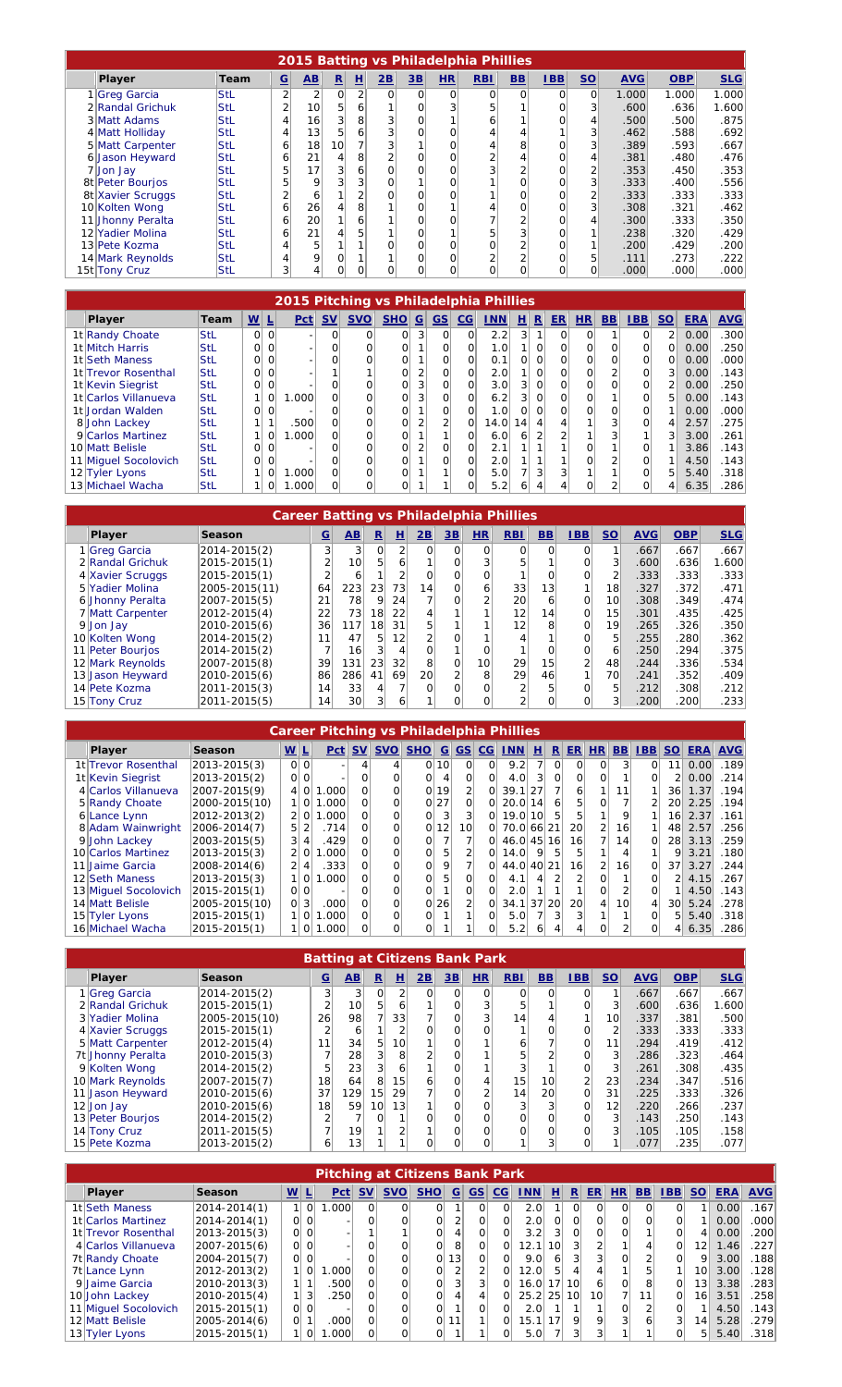|                                                                                                     |                                                                                                                                |             |                          |                        |                |                |                |          |          | 2015 Batting vs Philadelphia Phillies |                |              |                |            |            |            |
|-----------------------------------------------------------------------------------------------------|--------------------------------------------------------------------------------------------------------------------------------|-------------|--------------------------|------------------------|----------------|----------------|----------------|----------|----------|---------------------------------------|----------------|--------------|----------------|------------|------------|------------|
|                                                                                                     | Player                                                                                                                         | <b>Team</b> | $\underline{\mathbf{G}}$ | $\mathbf{A}\mathbf{B}$ | $\mathbf{R}$   | 비              | 2B             | 3B       | HR       | <b>RBI</b>                            | B <sub>B</sub> | IBB          | $S$            | <b>AVG</b> | <b>OBP</b> | <b>SLG</b> |
|                                                                                                     | 1 Greg Garcia                                                                                                                  | <b>StL</b>  | $\overline{2}$           | $\overline{2}$         | Ωl             | $\overline{2}$ | $\Omega$       | $\Omega$ | $\Omega$ | 0                                     | $\Omega$       | $\Omega$     | $\Omega$       | 1.000      | 1.000      | 1.000      |
|                                                                                                     | 2 Randal Grichuk                                                                                                               | <b>StL</b>  | 2                        | 10 <sup>1</sup>        | 5 <sup>1</sup> | 6              |                |          |          | 5 <sub>1</sub>                        |                | 0            | 3              | .600       | .636       | 1.600      |
|                                                                                                     | 3 Matt Adams                                                                                                                   | <b>StL</b>  | 4                        | 16                     | 3              | 8              | 3              | $\Omega$ |          | 6                                     |                | 0            | $\overline{4}$ | .500       | .500       | .875       |
|                                                                                                     | 4 Matt Holliday                                                                                                                | <b>StL</b>  | 4                        | 13                     | 5              | 6              |                |          | $\Omega$ | 4                                     | 4              |              | 3 <sup>1</sup> | .462       | .588       | .692       |
|                                                                                                     | 5 Matt Carpenter<br>7<br>8<br>3 <sup>1</sup><br>10 <sup>1</sup><br>0<br>.389<br>.593<br><b>StL</b><br>18<br>$\Omega$<br>6<br>4 |             |                          |                        |                |                |                |          |          |                                       |                |              |                |            |            | .667       |
| 6 Jason Heyward<br>8<br>21<br>0<br>4<br><b>StL</b><br>4<br>$\Omega$<br>2<br>.381<br>.480<br>6<br>41 |                                                                                                                                |             |                          |                        |                |                |                |          |          |                                       |                |              |                |            | .476       |            |
|                                                                                                     | 7 Jon Jay                                                                                                                      | <b>StL</b>  | 5                        | 17                     | 3              | 6              | $\Omega$       |          | $\Omega$ | 3                                     | $\overline{2}$ | 0            | 2              | .353       | .450       | .353       |
|                                                                                                     | 8t Peter Bourjos                                                                                                               | <b>StL</b>  | 5                        | 9                      | $\overline{3}$ | 3              | $\overline{0}$ |          | $\Omega$ |                                       | Ωl             | 0            | 3 <sup>1</sup> | .333       | .400       | .556       |
|                                                                                                     | 8t Xavier Scruggs                                                                                                              | <b>StL</b>  | 2                        | 6                      |                | 2              | 0              |          | O        |                                       | 0              | 0            | 2              | .333       | .333       | .333       |
|                                                                                                     | 10 Kolten Wong                                                                                                                 | <b>StL</b>  | 6                        | 26                     |                | 8              |                |          |          | 4                                     | O              | 0            | 3              | .308       | .321       | .462       |
|                                                                                                     | 11 Jhonny Peralta                                                                                                              | <b>StL</b>  | 6                        | 20                     |                | 6              |                |          | O        |                                       | 2              | 0            | 4              | .300       | .333       | .350       |
|                                                                                                     | 12 Yadier Molina                                                                                                               | <b>StL</b>  | 6                        | 21                     | 4              | 5              |                |          |          | 5                                     | 3              | $\mathbf{O}$ | <b>1</b>       | .238       | .320       | .429       |
|                                                                                                     | 13 Pete Kozma                                                                                                                  | <b>StL</b>  |                          | 5                      |                |                | O              |          | 0        |                                       | $\overline{2}$ | 0            |                | .200       | .429       | .200       |
|                                                                                                     | 14 Mark Reynolds                                                                                                               | <b>StL</b>  |                          | 9                      | 0l             |                |                |          | 0        | $\sim$                                | $\overline{2}$ | 0            | 5              | .111       | .273       | .222       |
|                                                                                                     | 15t Tony Cruz                                                                                                                  | <b>StL</b>  | 3                        |                        | O۱             | O              | O              |          | $\Omega$ | 0                                     | 0l             | 0            | $\Omega$       | .000       | .000       | .000       |

|                      |            |                          |          | 2015 Pitching vs Philadelphia Phillies |           |            |          |                  |                    |          |                  |          |                |           |           |                |            |           |            |            |
|----------------------|------------|--------------------------|----------|----------------------------------------|-----------|------------|----------|------------------|--------------------|----------|------------------|----------|----------------|-----------|-----------|----------------|------------|-----------|------------|------------|
| Player               | Team       | $\underline{\mathsf{w}}$ | ⊾        | <b>Pct</b>                             | <b>SV</b> | <b>SVO</b> | SHO      | $\mathbf{G}$     | $\vert$ GS $\vert$ | CG       | <b>INN</b>       | 비        | $\mathbf R$    | <b>ER</b> | <b>HR</b> | B <sub>B</sub> | <b>IBB</b> | <u>so</u> | <b>ERA</b> | <b>AVG</b> |
| 1t Randy Choate      | StL        | $\Omega$                 | $\Omega$ |                                        | $\Omega$  | $\Omega$   | $\Omega$ | $\overline{3}$   | 0                  | 0        | 2.2              | 3        | 1              | $\Omega$  | 0         |                | $\Omega$   |           | 0.00       | .300       |
| 1t Mitch Harris      | StL        | $\Omega$                 | $\Omega$ |                                        |           | $\Omega$   | Ωl       |                  | $\Omega$           | 0        | 1.0              |          | $\Omega$       | $\Omega$  | 0         |                | $\Omega$   | 0         | 0.00       | .250       |
| 1t Seth Maness       | <b>StL</b> | ΩI                       | $\Omega$ |                                        |           |            | 0        |                  | $\Omega$           | 0        | 0.1              | $\Omega$ | $\Omega$       |           | 0l        |                | $\Omega$   | $\Omega$  | 0.00       | .000       |
| 1t Trevor Rosenthal  | StL        | ΩI                       | $\Omega$ |                                        |           |            | 0        | 2                | $\Omega$           | 0        | 2.0              |          | $\Omega$       | O         | 0l        |                | $\Omega$   | 3         | 0.00       | .143       |
| 1t Kevin Siegrist    | <b>StL</b> | $\Omega$                 | $\Omega$ |                                        |           | $\Omega$   | 0        | $\frac{3}{2}$    | 0                  | 0        | 3.0 <sub>l</sub> | 31       | $\Omega$       | $\Omega$  | 0l        |                | $\Omega$   |           | 0.00       | .250       |
| 1t Carlos Villanueva | StL        |                          | $\Omega$ | 1.000                                  |           | $\Omega$   | $\Omega$ | $\left 3\right $ | 0                  | 0        | 6.2              | 31       | $\Omega$       | $\Omega$  | 0l        |                | $\Omega$   | 5         | 0.00       | .143       |
| 1t Jordan Walden     | StL        | Οl                       | $\Omega$ |                                        |           |            | Ωl       |                  | 0                  | 0        | 1.01             |          | $\Omega$       |           |           |                | $\Omega$   |           | 0.00       | .000       |
| 8 John Lackey        | StL        |                          |          | .500                                   |           |            | 0l       | 2                | $\overline{2}$     | 0        | 14.0             | 14       | 4              |           |           |                | 0          | 4         | 2.57       | .275       |
| 9 Carlos Martinez    | StL        |                          | $\Omega$ | 0.0001                                 |           |            | Ωl       |                  |                    | $\Omega$ | 6.0              | 6        | $\overline{2}$ |           |           |                |            | 3         | 3.00       | .261       |
| 10 Matt Belisle      | <b>StL</b> | Οl                       | $\Omega$ |                                        |           |            | 0        | $\overline{2}$   | 0                  | 0        | 2.1              |          |                |           | Οl        |                | $\Omega$   |           | 3.86       | .143       |
| 11 Miguel Socolovich | lStL       | $\Omega$                 | 0        |                                        |           |            | Ωl       |                  | $\Omega$           | 0        | 2.0              |          |                |           |           |                | O.         |           | 4.50       | .143       |
| 12 Tyler Lyons       | StL        |                          | $\Omega$ | .000                                   |           | Ωl         | 0l       |                  |                    | 0        | 5.0              |          | 3              | 3         |           |                | O.         | 5         | 5.40       | .318       |
| 13 Michael Wacha     | <b>StL</b> |                          | 0        | .000                                   |           | $\Omega$   | $\Omega$ |                  |                    | 0        | 5.2              | 6        | 4              | 4         | Ωl        |                | $\Omega$   | 41        | 6.35       | .286       |

|                  | <b>Career Batting vs Philadelphia Phillies</b> |                 |                        |                 |                |                |                |                |                |                 |                |           |            |            |            |
|------------------|------------------------------------------------|-----------------|------------------------|-----------------|----------------|----------------|----------------|----------------|----------------|-----------------|----------------|-----------|------------|------------|------------|
| <b>Player</b>    | Season                                         | G               | $\mathbf{A}\mathbf{B}$ | R               | н              | 2B             | 3B             | <b>HR</b>      | <b>RBI</b>     | <b>BB</b>       | <b>IBB</b>     | <b>SO</b> | <b>AVG</b> | <b>OBP</b> | <b>SLG</b> |
| 1 Greg Garcia    | 2014-2015(2)                                   | 3               | 3                      | $\Omega$        | $\overline{2}$ | $\Omega$       | $\Omega$       | 0              | 0              | $\Omega$        | $\Omega$       |           | .667       | .667       | .667       |
| 2 Randal Grichuk | 2015-2015(1)                                   | 2               | 10 <sup>1</sup>        | 5               | 6              |                | $\Omega$       | 3              | 5              |                 |                | 3         | .600       | .636       | .600       |
| 4 Xavier Scruggs | 2015-2015(1)                                   | $\overline{2}$  | 6                      |                 |                | 0              | $\Omega$       | 0              |                |                 |                | 2         | .333       | .333       | .333       |
| 5 Yadier Molina  | 2005-2015(11)                                  | 64              | 223                    | 23              | 73             | 14             | Ωl             | 6              | 33             | 13              |                | 18        | .327       | .372       | .471       |
| 6 Jhonny Peralta | 2007-2015(5)                                   | 21              | 78                     | 9               | 24             |                | $\Omega$       | $\overline{2}$ | 20             | 6               | $\Omega$       | 10        | .308       | .349       | .474       |
| 7 Matt Carpenter | 2012-2015(4)                                   | 22              | 73                     | 18 <sub>i</sub> | 22             | 4              |                |                | 12             | 14 <sub>1</sub> | $\Omega$       | 15        | .301       | .435       | .425       |
| 9 Jon Jav        | 2010-2015(6)                                   | 36              | 117                    | 18              | 31             | 5 <sub>1</sub> |                |                | 12             | 8               | 0              | 19        | .265       | .326       | .350       |
| 10 Kolten Wong   | 2014-2015(2)                                   | 11              | 47                     | 5               | 12             |                | $\Omega$       |                | 4              |                 |                | 5         | .255       | .280       | .362       |
| 11 Peter Bourjos | 2014-2015(2)                                   | 7               | 16                     | 3               |                |                |                | 0              |                |                 | O              | 6         | .250       | .294       | .375       |
| 12 Mark Reynolds | 2007-2015(8)                                   | 39              | 131 <sub>1</sub>       | 23              | 32             | 8              | Ωl             | 10             | 29             | 15              | $\overline{2}$ | 48        | .244       | .336       | .534       |
| 13 Jason Heyward | 2010-2015(6)                                   | 86              | 286                    | 41              | 69             | 20             | $\overline{2}$ | 8              | 29             | 46              |                | 70        | .241       | .352       | .409       |
| 14 Pete Kozma    | 2011-2015(3)                                   | 14 <sub>1</sub> | 33                     | $\overline{4}$  |                | 0              | 0              | 0              | $\overline{2}$ |                 | $\Omega$       | 5         | .212       | .308       | .212       |
| 15 Tony Cruz     | 2011-2015(5)                                   | 14 <sub>1</sub> | 30 <sup>°</sup>        | $\overline{3}$  | 6              |                |                | 0              | C              |                 |                | 3         | .200       | .200       | .233       |

|                      |               |                                 |                | <b>Career Pitching vs Philadelphia Phillies</b> |           |                |            |              |                 |          |            |                |                |                 |                |                 |          |                 |            |            |
|----------------------|---------------|---------------------------------|----------------|-------------------------------------------------|-----------|----------------|------------|--------------|-----------------|----------|------------|----------------|----------------|-----------------|----------------|-----------------|----------|-----------------|------------|------------|
| Player               | <b>Season</b> | $\underline{W}$ $\underline{L}$ |                | Pct                                             | <b>SV</b> | <b>SVO</b>     | <b>SHO</b> | $\mathbf{G}$ | <b>GS</b>       | CG       | <b>INN</b> | НΙ             | RI             | ER <sup>1</sup> | HR             | B <sub>B</sub>  | IBB      | SO              | <b>ERA</b> | <b>AVG</b> |
| 1t Trevor Rosenthal  | 2013-2015(3)  |                                 | 0 0            |                                                 |           |                |            | 0 10         | $\Omega$        | $\Omega$ | 9.2        |                | $\Omega$       | $\Omega$        | $\Omega$       | 3               | $\Omega$ | 11 <sub>h</sub> | 0.00       | .189       |
| 1t Kevin Siegrist    | 2013-2015(2)  | $\Omega$                        | 0              |                                                 |           |                | $\Omega$   |              | $\Omega$        | $\Omega$ | 4.0        | 3 <sup>1</sup> | $\Omega$       | Οl              | O              |                 | $\Omega$ | 21              | 0.00       | .214       |
| 4 Carlos Villanueva  | 2007-2015(9)  | 41                              | $\overline{O}$ | 1.000                                           | $\Omega$  | $\Omega$       |            | 0 19         | $\overline{2}$  | $\Omega$ | 39.1 27    |                | 7              | 6               |                | 11              |          | 361             | 1.37       | .194       |
| 5 Randy Choate       | 2000-2015(10) |                                 | $\Omega$       | 1.000                                           |           | $\Omega$       |            | 0 27         | $\Omega$        | ∩∣       | 20.0 14    |                | $\overline{6}$ | 5               | Ωl             |                 |          | 20 <sup>1</sup> | 2.25       | .194       |
| 6 Lance Lynn         | 2012-2013(2)  |                                 | 2 0            | 1.000                                           |           |                | 0          |              | 3               | $\Omega$ | 19.0 10    |                | 51             | 5               |                | 9               |          | 16 <sup>1</sup> | 2.37       | .161       |
| 8 Adam Wainwright    | 2006-2014(7)  | 5                               |                | .714                                            |           | 0              | $\Omega$   | 12           | 10 <sup>1</sup> | $\Omega$ | 70.0 66 21 |                |                | 20 <sup>°</sup> | $\overline{2}$ | 16 <sub>1</sub> |          | 48              | 2.57       | .256       |
| 9 John Lackey        | 2003-2015(5)  | 3                               | 4              | .429                                            |           | $\overline{O}$ | $\Omega$   |              |                 | ∩∣       | 46.0 45 16 |                |                | 16              |                | 14 <sub>1</sub> | $\Omega$ | 28              | 3.13       | .259       |
| 10 Carlos Martinez   | 2013-2015(3)  |                                 | 2 0            | .000                                            | ∩∣        | O              | 0          | 51           | 2               | $\Omega$ | 14.0       | 9              | 51             | 5               |                | 4               |          | 9               | 3.21       | 180        |
| 11 Jaime Garcia      | 2008-2014(6)  | 2                               | $\vert$        | .3331                                           | ∩         | $\Omega$       | 0          | 9            |                 |          | 44.0 40 21 |                |                | 16 <sub>1</sub> | $\overline{2}$ | 16 <sub>1</sub> | $\Omega$ | 37              | 3.27       | .244       |
| 12 Seth Maness       | 2013-2015(3)  | 1 <sup>1</sup>                  | $\Omega$       | 1.000                                           |           | 0              | $\Omega$   | 51           | $\Omega$        |          | 4.1        | 4              | $\mathcal{P}$  |                 | $\Omega$       |                 |          | $\overline{2}$  | 4.15       | .267       |
| 13 Miguel Socolovich | 2015-2015(1)  | 01                              | 0              |                                                 |           | 0              | Ωl         |              | $\Omega$        |          | 2.0        |                |                |                 |                |                 |          |                 | 4.50       | .143       |
| 14 Matt Belisle      | 2005-2015(10) | Ωl                              | $\overline{3}$ | .000                                            |           | $\Omega$       |            | 0 26         | $\overline{2}$  |          | 34.1 37 20 |                |                | 20              | 4              | 10 <sub>1</sub> |          | 30 <sup>1</sup> | 5.24       | .278       |
| 15 Tyler Lyons       | 2015-2015(1)  |                                 | $\Omega$       | 000                                             | ∩∣        | $\Omega$       | 0          |              |                 | $\Omega$ | 5.0        |                | 31             | 3               |                |                 | $\Omega$ | 51              | 5.40       | .318       |
| 16 Michael Wacha     | 2015-2015(1)  |                                 | $\Omega$       | 1.000                                           |           | $\Omega$       | 0          |              |                 |          | 5.2        | 61             | 4              | 4               | Ο              |                 |          |                 | 6.35       | .286       |

|                   |               |                 | <b>Batting at Citizens Bank Park</b> |                 |                 |                |          |                |                 |                 |                |                 |            |            |            |
|-------------------|---------------|-----------------|--------------------------------------|-----------------|-----------------|----------------|----------|----------------|-----------------|-----------------|----------------|-----------------|------------|------------|------------|
| Player            | <b>Season</b> | $\overline{G}$  | $\mathbf{AB}$                        | $\mathbf{R}$    | 且               | 2B             | 3B       | HR             | <b>RBI</b>      | B <sub>B</sub>  | IBB            | <b>SO</b>       | <b>AVG</b> | <b>OBP</b> | <b>SLG</b> |
| 1 Greg Garcia     | 2014-2015(2)  | 3               | $\overline{3}$                       | $\Omega$        | $\overline{2}$  | $\Omega$       | $\Omega$ | $\mathbf{O}$   | $\Omega$        | $\Omega$        | $\Omega$       |                 | .667       | .667       | .667       |
| 2 Randal Grichuk  | 2015-2015(1)  | 2               | 10 <sup>1</sup>                      | 5               | 6               |                | $\Omega$ | 3              | 5               |                 |                | 3               | .600       | .636       | 1.600      |
| 3 Yadier Molina   | 2005-2015(10) | 26              | 98                                   |                 | 33              |                | Ωl       | 3              | 14 <sub>1</sub> |                 |                | 10 <sup>1</sup> | .337       | .381       | .500       |
| 4 Xavier Scruggs  | 2015-2015(1)  | 2               | $\overline{6}$                       |                 | 2               | $\overline{0}$ | $\Omega$ | 0              |                 | O               | 0              | 2               | .333       | .333       | .333       |
| 5 Matt Carpenter  | 2012-2015(4)  | 11              | 34                                   | 5               | 10 <sup>1</sup> |                | Οl       |                | 6               |                 | 0              | 11              | .294       | .419       | .412       |
| 7t Jhonny Peralta | 2010-2015(3)  | 7               | 28                                   | $\overline{3}$  | 8               | $\overline{2}$ | $\Omega$ |                | 5               |                 | 0              | 3               | .286       | .323       | .464       |
| 9 Kolten Wong     | 2014-2015(2)  | 5               | 23                                   | $\overline{3}$  | $\overline{6}$  |                | Ωl       |                | 3               |                 | 0              | 3               | .261       | .308       | .435       |
| 10 Mark Reynolds  | 2007-2015(7)  | 18              | 64                                   | 8               | 15 <sup>1</sup> | 6              | $\Omega$ | $\overline{4}$ | 15 <sub>1</sub> | 10 <sub>1</sub> | $\overline{2}$ | 23              | .234       | .347       | .516       |
| 11 Jason Heyward  | 2010-2015(6)  | 37              | 129                                  | 15              | 29              | $\overline{7}$ | Ωl       | $\overline{2}$ | 14 <sub>1</sub> | 20              | $\Omega$       | 31              | .225       | .333       | .326       |
| 12 Jon Jay        | 2010-2015(6)  | 18 <sub>1</sub> | 59                                   | 10 <sub>1</sub> | 13 <sup>1</sup> |                | $\Omega$ | 0              | $\overline{3}$  | 3               | O              | 12              | .220       | .266       | .237       |
| 13 Peter Bourjos  | 2014-2015(2)  | 2               | 7                                    | Ωl              |                 | Ωl             | $\Omega$ | 0              | $\overline{0}$  |                 | $\Omega$       | 3               | .143       | .250       | .143       |
| 14 Tony Cruz      | 2011-2015(5)  | 7               | 19                                   |                 | $\overline{2}$  |                | $\Omega$ | 0              | $\overline{0}$  | O               | O              | 3               | .105       | .105       | .158       |
| 15 Pete Kozma     | 2013-2015(2)  | 6               | 13                                   |                 |                 | $\Omega$       | Ωl       | 0              |                 | 3               | $\Omega$       |                 | .077       | .235       | .077       |

|                      |              |                      | <b>Pitching at Citizens Bank Park</b> |           |                |            |                 |                |          |                  |                 |          |                 |           |                 |          |                 |            |            |
|----------------------|--------------|----------------------|---------------------------------------|-----------|----------------|------------|-----------------|----------------|----------|------------------|-----------------|----------|-----------------|-----------|-----------------|----------|-----------------|------------|------------|
| Player               | Season       | $W$ L                | <b>Pct</b>                            | <b>SV</b> | <b>SVO</b>     | <b>SHO</b> | $\mathbf G$     | <b>GS</b>      | CG       | <b>INN</b>       | н               | R        | ER <sup> </sup> | <b>HR</b> | <b>BB</b>       | IBB      | <b>SO</b>       | <b>ERA</b> | <b>AVG</b> |
| 1t Seth Maness       | 2014-2014(1) | $\Omega$             | .000 <sub>1</sub>                     | $\Omega$  |                | $\Omega$   |                 | $\Omega$       | Ωl       | 2.0              |                 | $\Omega$ | $\Omega$        | $\Omega$  | $\Omega$        | 0        |                 | 0.00       | 167        |
| 1t Carlos Martinez   | 2014-2014(1) | $ 0 $ $ 0 $          |                                       | $\Omega$  |                |            |                 | Ωl             | Ωl       | 2.0 <sub>1</sub> | $\Omega$        | $\Omega$ | $\Omega$        | Ωl        | $\Omega$        | 01       |                 | 0.00       | .000       |
| 1t Trevor Rosenthal  | 2013-2015(3) | $ 0 $ $ 0 $          |                                       |           |                | $\Omega$   |                 |                |          | 3.2              | 3 <sup>1</sup>  | $\Omega$ | $\Omega$        | $\Omega$  |                 | 0        | $\vert$         | 0.00       | 200        |
| 4 Carlos Villanueva  | 2007-2015(6) | $ 0 $ $ 0 $          |                                       | 0         |                | 0          | 8               | Ωl             | $\Omega$ | 12.1             | 10 <sup>1</sup> |          | $\overline{2}$  |           | 41              | 0        | 12 <sub>1</sub> | 1.46       | 227        |
| 7t Randy Choate      | 2004-2015(7) | $\Omega$<br>$\Omega$ |                                       | O         |                | $\Omega$   | 13              | Ωl             | ∩∣       | 9.0              | 6               |          | 3 <sup>1</sup>  | Ωl        |                 | $\Omega$ | 9               | 3.00       | 188        |
| 7t Lance Lynn        | 2012-2013(2) | $\Omega$             | .000 <sub>1</sub>                     | $\Omega$  |                | $\Omega$   |                 | 2 <sup>1</sup> | $\Omega$ | 12.0             | 5 <sup>1</sup>  |          | $\overline{4}$  |           |                 |          | 10 <sup>1</sup> | 3.00       | 128        |
| 9 Jaime Garcia       | 2010-2013(3) | 1 <sup>1</sup>       | .500                                  | $\Omega$  | $\Omega$       |            |                 | 3 <sup>1</sup> | $\Omega$ | 16.0 17 10       |                 |          | $\overline{6}$  | Ωl        | 8               | $\Omega$ | 13 <sub>1</sub> | 3.38       | .283       |
| 10 John Lackey       | 2010-2015(4) | 11<br>3              | .250                                  | $\Omega$  | $\Omega$       | $\Omega$   |                 | $\overline{4}$ | Ωl       | 25.2 25 10       |                 |          | 10 <sup>1</sup> |           | 11 <sub>1</sub> | $\Omega$ | 16 <sub>h</sub> | 3.51       | 258        |
| 11 Miguel Socolovich | 2015-2015(1) | $\Omega$<br>$\Omega$ |                                       | O         | 0              | $\Omega$   |                 | Ωl             | Ωl       | 2.0 <sub>1</sub> |                 |          |                 | Ωl        | $\overline{2}$  | $\Omega$ |                 | 4.50       | 143        |
| 12 Matt Belisle      | 2005-2014(6) | 0                    | .000 <sub>1</sub>                     | $\Omega$  | O <sub>1</sub> | $\Omega$   | 11 <sub>1</sub> |                | Οl       | $15.1$   17      |                 | $\Omega$ | 9               |           | 6 <sup>1</sup>  | 3        | 14              | 5.28       | .279       |
| 13 Tyler Lyons       | 2015-2015(1) | $\Omega$             | .000 <sub>1</sub>                     | 01        |                | Οl         |                 |                | ור       | 5.0              |                 |          |                 |           |                 |          | 5 <sup>1</sup>  | 5.40       | .318       |